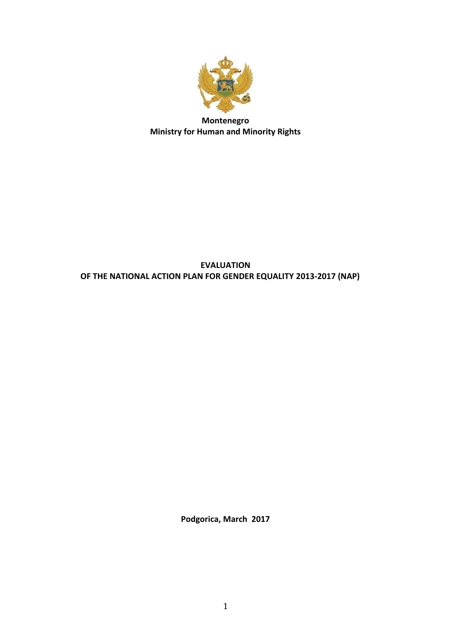

## **Montenegro Ministry for Human and Minority Rights**

## **EVALUATION OF THE NATIONAL ACTION PLAN FOR GENDER EQUALITY 2013-2017 (NAP)**

**Podgorica, March 2017**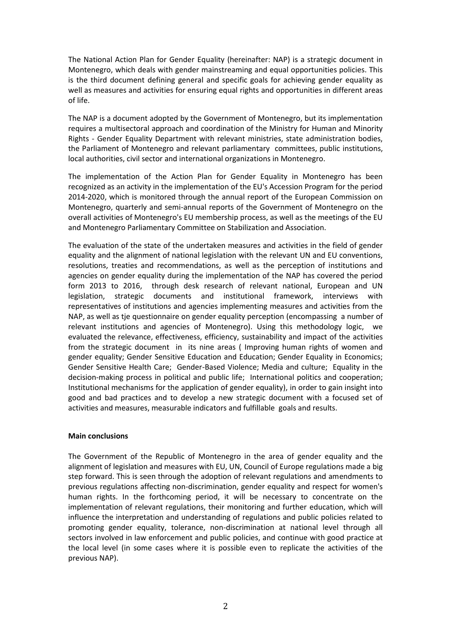The National Action Plan for Gender Equality (hereinafter: NAP) is a strategic document in Montenegro, which deals with gender mainstreaming and equal opportunities policies. This is the third document defining general and specific goals for achieving gender equality as well as measures and activities for ensuring equal rights and opportunities in different areas of life.

The NAP is a document adopted by the Government of Montenegro, but its implementation requires a multisectoral approach and coordination of the Ministry for Human and Minority Rights - Gender Equality Department with relevant ministries, state administration bodies, the Parliament of Montenegro and relevant parliamentary committees, public institutions, local authorities, civil sector and international organizations in Montenegro.

The implementation of the Action Plan for Gender Equality in Montenegro has been recognized as an activity in the implementation of the EU's Accession Program for the period 2014-2020, which is monitored through the annual report of the European Commission on Montenegro, quarterly and semi-annual reports of the Government of Montenegro on the overall activities of Montenegro's EU membership process, as well as the meetings of the EU and Montenegro Parliamentary Committee on Stabilization and Association.

The evaluation of the state of the undertaken measures and activities in the field of gender equality and the alignment of national legislation with the relevant UN and EU conventions, resolutions, treaties and recommendations, as well as the perception of institutions and agencies on gender equality during the implementation of the NAP has covered the period form 2013 to 2016, through desk research of relevant national, European and UN legislation, strategic documents and institutional framework, interviews with representatives of institutions and agencies implementing measures and activities from the NAP, as well as tje questionnaire on gender equality perception (encompassing a number of relevant institutions and agencies of Montenegro). Using this methodology logic, we evaluated the relevance, effectiveness, efficiency, sustainability and impact of the activities from the strategic document in its nine areas ( Improving human rights of women and gender equality; Gender Sensitive Education and Education; Gender Equality in Economics; Gender Sensitive Health Care; Gender-Based Violence; Media and culture; Equality in the decision-making process in political and public life; International politics and cooperation; Institutional mechanisms for the application of gender equality), in order to gain insight into good and bad practices and to develop a new strategic document with a focused set of activities and measures, measurable indicators and fulfillable goals and results.

## **Main conclusions**

The Government of the Republic of Montenegro in the area of gender equality and the alignment of legislation and measures with EU, UN, Council of Europe regulations made a big step forward. This is seen through the adoption of relevant regulations and amendments to previous regulations affecting non-discrimination, gender equality and respect for women's human rights. In the forthcoming period, it will be necessary to concentrate on the implementation of relevant regulations, their monitoring and further education, which will influence the interpretation and understanding of regulations and public policies related to promoting gender equality, tolerance, non-discrimination at national level through all sectors involved in law enforcement and public policies, and continue with good practice at the local level (in some cases where it is possible even to replicate the activities of the previous NAP).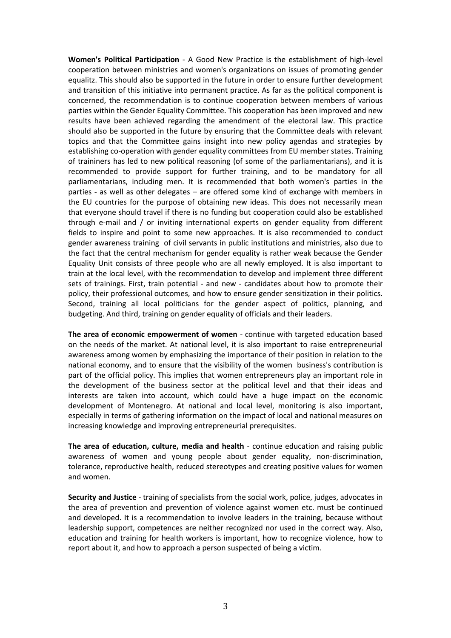**Women's Political Participation** - A Good New Practice is the establishment of high-level cooperation between ministries and women's organizations on issues of promoting gender equalitz. This should also be supported in the future in order to ensure further development and transition of this initiative into permanent practice. As far as the political component is concerned, the recommendation is to continue cooperation between members of various parties within the Gender Equality Committee. This cooperation has been improved and new results have been achieved regarding the amendment of the electoral law. This practice should also be supported in the future by ensuring that the Committee deals with relevant topics and that the Committee gains insight into new policy agendas and strategies by establishing co-operation with gender equality committees from EU member states. Training of traininers has led to new political reasoning (of some of the parliamentarians), and it is recommended to provide support for further training, and to be mandatory for all parliamentarians, including men. It is recommended that both women's parties in the parties - as well as other delegates – are offered some kind of exchange with members in the EU countries for the purpose of obtaining new ideas. This does not necessarily mean that everyone should travel if there is no funding but cooperation could also be established through e-mail and / or inviting international experts on gender equality from different fields to inspire and point to some new approaches. It is also recommended to conduct gender awareness training of civil servants in public institutions and ministries, also due to the fact that the central mechanism for gender equality is rather weak because the Gender Equality Unit consists of three people who are all newly employed. It is also important to train at the local level, with the recommendation to develop and implement three different sets of trainings. First, train potential - and new - candidates about how to promote their policy, their professional outcomes, and how to ensure gender sensitization in their politics. Second, training all local politicians for the gender aspect of politics, planning, and budgeting. And third, training on gender equality of officials and their leaders.

**The area of economic empowerment of women** - continue with targeted education based on the needs of the market. At national level, it is also important to raise entrepreneurial awareness among women by emphasizing the importance of their position in relation to the national economy, and to ensure that the visibility of the women business's contribution is part of the official policy. This implies that women entrepreneurs play an important role in the development of the business sector at the political level and that their ideas and interests are taken into account, which could have a huge impact on the economic development of Montenegro. At national and local level, monitoring is also important, especially in terms of gathering information on the impact of local and national measures on increasing knowledge and improving entrepreneurial prerequisites.

**The area of education, culture, media and health** - continue education and raising public awareness of women and young people about gender equality, non-discrimination, tolerance, reproductive health, reduced stereotypes and creating positive values for women and women.

**Security and Justice** - training of specialists from the social work, police, judges, advocates in the area of prevention and prevention of violence against women etc. must be continued and developed. It is a recommendation to involve leaders in the training, because without leadership support, competences are neither recognized nor used in the correct way. Also, education and training for health workers is important, how to recognize violence, how to report about it, and how to approach a person suspected of being a victim.